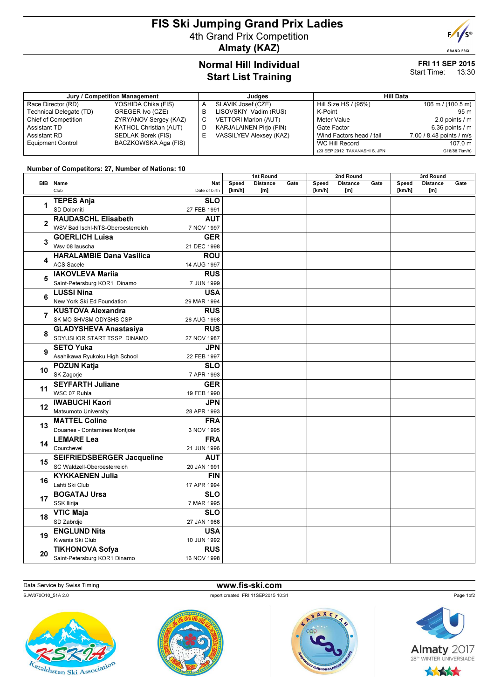## FIS Ski Jumping Grand Prix Ladies 4th Grand Prix Competition Almaty (KAZ)



#### FRI 11 SEP 2015 Start Time: 13:30

 $F/1/s$ **GRAND PRIX** 

| Jury / Competition Management |                               |    | Judaes                         | <b>Hill Data</b>              |                             |  |  |
|-------------------------------|-------------------------------|----|--------------------------------|-------------------------------|-----------------------------|--|--|
| Race Director (RD)            | YOSHIDA Chika (FIS)           | A  | SLAVIK Josef (CZE)             | Hill Size HS / (95%)          | $106 \text{ m}$ / (100.5 m) |  |  |
| Technical Delegate (TD)       | GREGER Ivo (CZE)              | в  | LISOVSKIY Vadim (RUS)          | K-Point                       | 95 m                        |  |  |
| <b>Chief of Competition</b>   | ZYRYANOV Sergey (KAZ)         | C. | <b>VETTORI Marion (AUT)</b>    | Meter Value                   | 2.0 points $\sqrt{m}$       |  |  |
| Assistant TD                  | <b>KATHOL Christian (AUT)</b> | D  | <b>KARJALAINEN Pirjo (FIN)</b> | Gate Factor                   | 6.36 points $\sqrt{}$ m     |  |  |
| Assistant RD                  | SEDLAK Borek (FIS)            | E. | <b>VASSILYEV Alexsey (KAZ)</b> | Wind Factors head / tail      | 7.00 / 8.48 points / m/s    |  |  |
| <b>Equipment Control</b>      | BACZKOWSKA Aga (FIS)          |    |                                | WC Hill Record                | 107.0 m                     |  |  |
|                               |                               |    |                                | (23 SEP 2012 TAKANASHI S. JPN | G18/88.7km/h)               |  |  |

### Number of Competitors: 27, Number of Nations: 10

|                |                                                       |                           | 1st Round       |                         |      | 2nd Round       |                        |      | 3rd Round       |                        |      |
|----------------|-------------------------------------------------------|---------------------------|-----------------|-------------------------|------|-----------------|------------------------|------|-----------------|------------------------|------|
|                | <b>BIB</b> Name<br>Club                               | Nat<br>Date of birth      | Speed<br>[km/h] | <b>Distance</b><br>[ml] | Gate | Speed<br>[km/h] | <b>Distance</b><br>[m] | Gate | Speed<br>[km/h] | <b>Distance</b><br>[m] | Gate |
| 1              | <b>TEPES Anja</b>                                     | <b>SLO</b>                |                 |                         |      |                 |                        |      |                 |                        |      |
|                | SD Dolomiti                                           | 27 FEB 1991               |                 |                         |      |                 |                        |      |                 |                        |      |
| $\overline{2}$ | <b>RAUDASCHL Elisabeth</b>                            | <b>AUT</b>                |                 |                         |      |                 |                        |      |                 |                        |      |
|                | WSV Bad Ischl-NTS-Oberoesterreich                     | 7 NOV 1997                |                 |                         |      |                 |                        |      |                 |                        |      |
| 3              | <b>GOERLICH Luisa</b>                                 | <b>GER</b>                |                 |                         |      |                 |                        |      |                 |                        |      |
|                | Wsv 08 lauscha                                        | 21 DEC 1998               |                 |                         |      |                 |                        |      |                 |                        |      |
| 4              | <b>HARALAMBIE Dana Vasilica</b>                       | <b>ROU</b>                |                 |                         |      |                 |                        |      |                 |                        |      |
|                | <b>ACS Sacele</b>                                     | 14 AUG 1997               |                 |                         |      |                 |                        |      |                 |                        |      |
| 5              | <b>IAKOVLEVA Mariia</b>                               | <b>RUS</b>                |                 |                         |      |                 |                        |      |                 |                        |      |
|                | Saint-Petersburg KOR1 Dinamo                          | 7 JUN 1999                |                 |                         |      |                 |                        |      |                 |                        |      |
| 6              | <b>LUSSI Nina</b>                                     | <b>USA</b>                |                 |                         |      |                 |                        |      |                 |                        |      |
|                | New York Ski Ed Foundation                            | 29 MAR 1994               |                 |                         |      |                 |                        |      |                 |                        |      |
| $\overline{7}$ | <b>KUSTOVA Alexandra</b>                              | <b>RUS</b>                |                 |                         |      |                 |                        |      |                 |                        |      |
|                | SK MO SHVSM ODYSHS CSP                                | 26 AUG 1998               |                 |                         |      |                 |                        |      |                 |                        |      |
| 8              | <b>GLADYSHEVA Anastasiya</b>                          | <b>RUS</b>                |                 |                         |      |                 |                        |      |                 |                        |      |
|                | SDYUSHOR START TSSP DINAMO                            | 27 NOV 1987               |                 |                         |      |                 |                        |      |                 |                        |      |
| 9              | <b>SETO Yuka</b>                                      | JPN                       |                 |                         |      |                 |                        |      |                 |                        |      |
|                | Asahikawa Ryukoku High School                         | 22 FEB 1997               |                 |                         |      |                 |                        |      |                 |                        |      |
| 10             | <b>POZUN Katja</b>                                    | <b>SLO</b>                |                 |                         |      |                 |                        |      |                 |                        |      |
|                | SK Zagorje                                            | 7 APR 1993                |                 |                         |      |                 |                        |      |                 |                        |      |
| 11             | <b>SEYFARTH Juliane</b>                               | <b>GER</b><br>19 FEB 1990 |                 |                         |      |                 |                        |      |                 |                        |      |
|                | WSC 07 Ruhla                                          |                           |                 |                         |      |                 |                        |      |                 |                        |      |
| 12             | <b>IWABUCHI Kaori</b>                                 | <b>JPN</b>                |                 |                         |      |                 |                        |      |                 |                        |      |
|                | Matsumoto University                                  | 28 APR 1993<br><b>FRA</b> |                 |                         |      |                 |                        |      |                 |                        |      |
| 13             | <b>MATTEL Coline</b><br>Douanes - Contamines Montjoie |                           |                 |                         |      |                 |                        |      |                 |                        |      |
|                |                                                       | 3 NOV 1995                |                 |                         |      |                 |                        |      |                 |                        |      |
| 14             | <b>LEMARE Lea</b><br>Courchevel                       | <b>FRA</b><br>21 JUN 1996 |                 |                         |      |                 |                        |      |                 |                        |      |
|                | <b>SEIFRIEDSBERGER Jacqueline</b>                     | <b>AUT</b>                |                 |                         |      |                 |                        |      |                 |                        |      |
| 15             | SC Waldzell-Oberoesterreich                           | 20 JAN 1991               |                 |                         |      |                 |                        |      |                 |                        |      |
|                | <b>KYKKAENEN Julia</b>                                | <b>FIN</b>                |                 |                         |      |                 |                        |      |                 |                        |      |
| 16             | Lahti Ski Club                                        | 17 APR 1994               |                 |                         |      |                 |                        |      |                 |                        |      |
|                | <b>BOGATAJ Ursa</b>                                   | <b>SLO</b>                |                 |                         |      |                 |                        |      |                 |                        |      |
| 17             | SSK Ilirija                                           | 7 MAR 1995                |                 |                         |      |                 |                        |      |                 |                        |      |
| 18             | <b>VTIC Maja</b>                                      | <b>SLO</b>                |                 |                         |      |                 |                        |      |                 |                        |      |
|                | SD Zabrdje                                            | 27 JAN 1988               |                 |                         |      |                 |                        |      |                 |                        |      |
|                | <b>ENGLUND Nita</b>                                   | <b>USA</b>                |                 |                         |      |                 |                        |      |                 |                        |      |
| 19             | Kiwanis Ski Club                                      | 10 JUN 1992               |                 |                         |      |                 |                        |      |                 |                        |      |
|                | <b>TIKHONOVA Sofya</b>                                | <b>RUS</b>                |                 |                         |      |                 |                        |      |                 |                        |      |
| 20             | Saint-Petersburg KOR1 Dinamo                          | 16 NOV 1998               |                 |                         |      |                 |                        |      |                 |                        |      |
|                |                                                       |                           |                 |                         |      |                 |                        |      |                 |                        |      |

### Data Service by Swiss Timing **www.fis-ski.com**

SJW070O10\_51A 2.0 report created FRI 11SEP2015 10:31